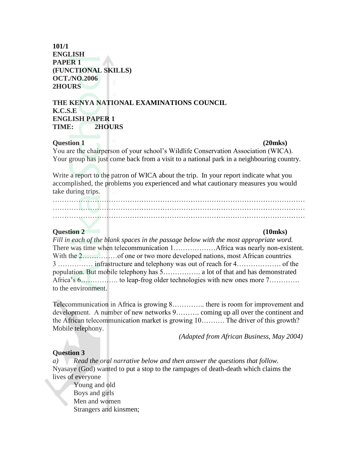**101/1 ENGLISH PAPER 1 (FUNCTIONAL SKILLS) OCT./NO.2006 2HOURS**

### **THE KENYA NATIONAL EXAMINATIONS COUNCIL K.C.S.E ENGLISH PAPER 1 TIME: 2HOURS**

### **Question 1 (20mks)**

You are the chairperson of your school"s Wildlife Conservation Association (WICA). Your group has just come back from a visit to a national park in a neighbouring country.

Write a report to the patron of WICA about the trip. In your report indicate what you accomplished, the problems you experienced and what cautionary measures you would take during trips.

……………………………………………………………………………………………… ……………………………………………………………………………………………… ………………………………………………………………………………………………

### **Question 2 (10mks)**

*Fill in each of the blank spaces in the passage below with the most appropriate word.* There was time when telecommunication 1………………Africa was nearly non-existent. With the 2…………of one or two more developed nations, most African countries 3 …………… infrastructure and telephony was out of reach for 4………………. of the population. But mobile telephony has 5……………. a lot of that and has demonstrated Africa's 6…………….. to leap-frog older technologies with new ones more 7…………. to the environment.

Telecommunication in Africa is growing 8………….. there is room for improvement and development. A number of new networks 9………. coming up all over the continent and the African telecommunication market is growing 10………. The driver of this growth? Mobile telephony.

*(Adapted from African Business, May 2004)*

### **Question 3**

*a) Read the oral narrative below and then answer the questions that follow.* Nyasaye (God) wanted to put a stop to the rampages of death-death which claims the lives of everyone

Young and old Boys and girls Men and women Strangers and kinsmen;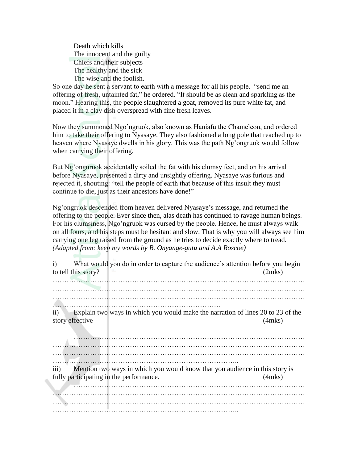Death which kills The innocent and the guilty Chiefs and their subjects The healthy and the sick The wise and the foolish.

So one day he sent a servant to earth with a message for all his people. "send me an offering of fresh, untainted fat," he ordered. "It should be as clean and sparkling as the moon." Hearing this, the people slaughtered a goat, removed its pure white fat, and placed it in a clay dish overspread with fine fresh leaves.

Now they summoned Ngo"ngruok, also known as Haniafu the Chameleon, and ordered him to take their offering to Nyasaye. They also fashioned a long pole that reached up to heaven where Nyasaye dwells in his glory. This was the path Ng"ongruok would follow when carrying their offering.

But Ng'onguruok accidentally soiled the fat with his clumsy feet, and on his arrival before Nyasaye, presented a dirty and unsightly offering. Nyasaye was furious and rejected it, shouting: "tell the people of earth that because of this insult they must continue to die, just as their ancestors have done!"

Ng"ongruok descended from heaven delivered Nyasaye"s message, and returned the offering to the people. Ever since then, alas death has continued to ravage human beings. For his clumsiness, Ngo"ngruok was cursed by the people. Hence, he must always walk on all fours, and his steps must be hesitant and slow. That is why you will always see him carrying one leg raised from the ground as he tries to decide exactly where to tread. *(Adapted from: keep my words by B. Onyange-gutu and A.A Roscoe)*

i) What would you do in order to capture the audience"s attention before you begin to tell this story?  $(2mks)$ ……………………………………………………………………………………………… ……………………………………………………………………………………………… ……………………………………………………………………………………………… ……………………………………………………………… ii) Explain two ways in which you would make the narration of lines 20 to 23 of the story effective (4mks) ……………………………………………………………………………………… ……………………………………………………………………………………………… ……………………………………………………………………………………………… …………………………………………………………………….. iii) Mention two ways in which you would know that you audience in this story is fully participating in the performance. (4mks) ……………………………………………………………………………………… ……………………………………………………………………………………………… ……………………………………………………………………………………………… ……………………………………………………………………..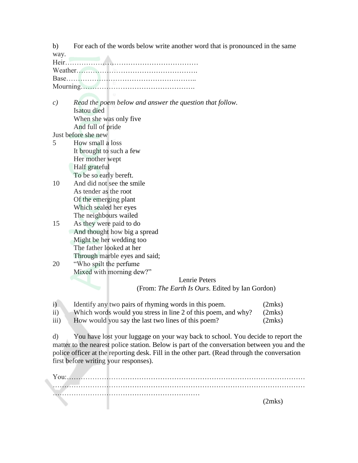b) For each of the words below write another word that is pronounced in the same way.

- *c) Read the poem below and answer the question that follow.* Isatou died When she was only five And full of pride Just before she new
- 5 How small a loss It brought to such a few Her mother wept Half grateful To be so early bereft.
- 10 And did not see the smile As tender as the root Of the emerging plant Which sealed her eyes The neighbours wailed
- 15 As they were paid to do And thought how big a spread Might be her wedding too The father looked at her Through marble eyes and said;
- 20 "Who spilt the perfume Mixed with morning dew?"

Lenrie Peters (From: *The Earth Is Ours*. Edited by Ian Gordon)

| i)   | Identify any two pairs of rhyming words in this poem.         | (2mks) |
|------|---------------------------------------------------------------|--------|
| ii)  | Which words would you stress in line 2 of this poem, and why? | (2mks) |
| iii) | How would you say the last two lines of this poem?            | (2mks) |

d) You have lost your luggage on your way back to school. You decide to report the matter to the nearest police station. Below is part of the conversation between you and the police officer at the reporting desk. Fill in the other part. (Read through the conversation first before writing your responses).

You:………………………………………………………………………………………… ……………………………………………………………………………………………… ……………………………………………………… (2mks)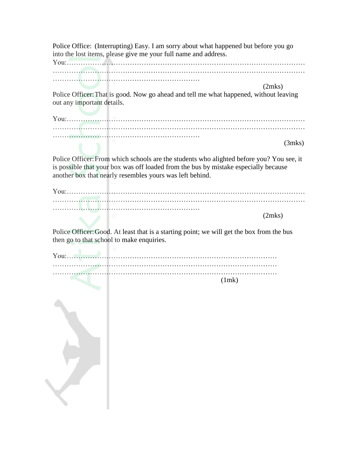Police Office: (Interrupting) Easy. I am sorry about what happened but before you go into the lost items, please give me your full name and address. You:………………………………………………………………………………………… ……………………………………………………………………………………………… ……………………………………………………… (2mks) Police Officer:That is good. Now go ahead and tell me what happened, without leaving out any important details. You:………………………………………………………………………………………… ……………………………………………………………………………………………… ……………………………………………………… (3mks) Police Officer:From which schools are the students who alighted before you? You see, it is possible that your box was off loaded from the bus by mistake especially because another box that nearly resembles yours was left behind. You:………………………………………………………………………………………… ……………………………………………………………………………………………… ……………………………………………………… (2mks) Police Officer:Good. At least that is a starting point; we will get the box from the bus then go to that school to make enquiries. You:……………………………………………………………………………… …………………………………………………………………………………… …………………………………………………………………………………… (1mk)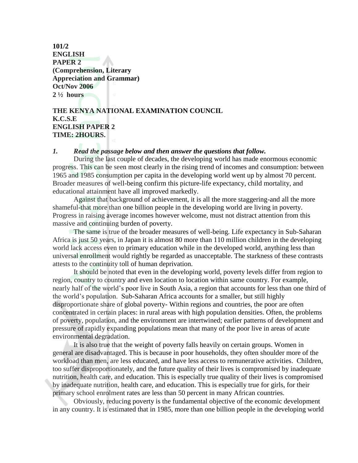**101/2 ENGLISH PAPER 2 (Comprehension, Literary Appreciation and Grammar) Oct/Nov 2006 2 ½ hours**

## **THE KENYA NATIONAL EXAMINATION COUNCIL K.C.S.E ENGLISH PAPER 2 TIME: 2HOURS.**

### *1. Read the passage below and then answer the questions that follow.*

During the last couple of decades, the developing world has made enormous economic progress. This can be seen most clearly in the rising trend of incomes and consumption: between 1965 and 1985 consumption per capita in the developing world went up by almost 70 percent. Broader measures of well-being confirm this picture-life expectancy, child mortality, and educational attainment have all improved markedly.

Against that background of achievement, it is all the more staggering-and all the more shameful-that more than one billion people in the developing world are living in poverty. Progress in raising average incomes however welcome, must not distract attention from this massive and continuing burden of poverty.

The same is true of the broader measures of well-being. Life expectancy in Sub-Saharan Africa is just 50 years, in Japan it is almost 80 more than 110 million children in the developing world lack access even to primary education while in the developed world, anything less than universal enrollment would rightly be regarded as unacceptable. The starkness of these contrasts attests to the continuity toll of human deprivation.

It should be noted that even in the developing world, poverty levels differ from region to region, country to country and even location to location within same country. For example, nearly half of the world"s poor live in South Asia, a region that accounts for less than one third of the world"s population. Sub-Saharan Africa accounts for a smaller, but still highly disproportionate share of global poverty- Within regions and countries, the poor are often concentrated in certain places: in rural areas with high population densities. Often, the problems of poverty, population, and the environment are intertwined; earlier patterns of development and pressure of rapidly expanding populations mean that many of the poor live in areas of acute environmental degradation.

It is also true that the weight of poverty falls heavily on certain groups. Women in general are disadvantaged. This is because in poor households, they often shoulder more of the workload than men, are less educated, and have less access to remunerative activities. Children, too suffer disproportionately, and the future quality of their lives is compromised by inadequate nutrition, health care, and education. This is especially true quality of their lives is compromised by inadequate nutrition, health care, and education. This is especially true for girls, for their primary school enrolment rates are less than 50 percent in many African countries.

Obviously, reducing poverty is the fundamental objective of the economic development in any country. It is estimated that in 1985, more than one billion people in the developing world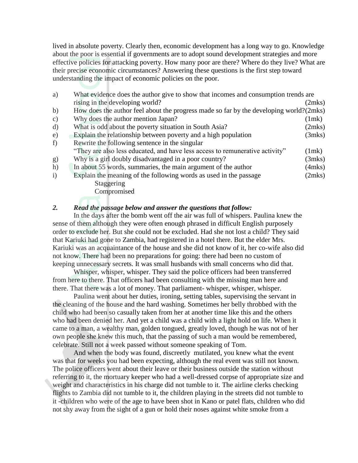lived in absolute poverty. Clearly then, economic development has a long way to go. Knowledge about the poor is essential if governments are to adopt sound development strategies and more effective policies for attacking poverty. How many poor are there? Where do they live? What are their precise economic circumstances? Answering these questions is the first step toward understanding the impact of economic policies on the poor.

| a)            | What evidence does the author give to show that incomes and consumption trends are     |              |
|---------------|----------------------------------------------------------------------------------------|--------------|
|               | rising in the developing world?                                                        | (2mks)       |
| b)            | How does the author feel about the progress made so far by the developing world?(2mks) |              |
| $\mathbf{c})$ | Why does the author mention Japan?                                                     | (1mk)        |
| d)            | What is odd about the poverty situation in South Asia?                                 | (2mks)       |
| e)            | Explain the relationship between poverty and a high population                         | (3mks)       |
| f)            | Rewrite the following sentence in the singular                                         |              |
|               | "They are also less educated, and have less access to remunerative activity"           | (1mk)        |
| g)            | Why is a girl doubly disadvantaged in a poor country?                                  | (3mks)       |
| h)            | In about 55 words, summaries, the main argument of the author                          | $(4$ mks $)$ |
| $\mathbf{i}$  | Explain the meaning of the following words as used in the passage                      | (2mks)       |
|               | Staggering                                                                             |              |
|               | Compromised                                                                            |              |

### *2. Read the passage below and answer the questions that follow:*

In the days after the bomb went off the air was full of whispers. Paulina knew the sense of them although they were often enough phrased in difficult English purposely order to exclude her. But she could not be excluded. Had she not lost a child? They said that Kariuki had gone to Zambia, had registered in a hotel there. But the elder Mrs. Kariuki was an acquaintance of the house and she did not know of it, her co-wife also did not know. There had been no preparations for going: there had been no custom of keeping unnecessary secrets. It was small husbands with small concerns who did that.

Whisper, whisper, whisper. They said the police officers had been transferred from here to there. That officers had been consulting with the missing man here and there. That there was a lot of money. That parliament- whisper, whisper, whisper.

Paulina went about her duties, ironing, setting tables, supervising the servant in the cleaning of the house and the hard washing. Sometimes her belly throbbed with the child who had been so casually taken from her at another time like this and the others who had been denied her. And yet a child was a child with a light hold on life. When it came to a man, a wealthy man, golden tongued, greatly loved, though he was not of her own people she knew this much, that the passing of such a man would be remembered, celebrate. Still not a week passed without someone speaking of Tom.

And when the body was found, discreetly mutilated, you knew what the event was that for weeks you had been expecting, although the real event was still not known. The police officers went about their leave or their business outside the station without referring to it, the mortuary keeper who had a well-dressed corpse of appropriate size and weight and characteristics in his charge did not tumble to it. The airline clerks checking flights to Zambia did not tumble to it, the children playing in the streets did not tumble to it -children who were of the age to have been shot in Kano or patel flats, children who did not shy away from the sight of a gun or hold their noses against white smoke from a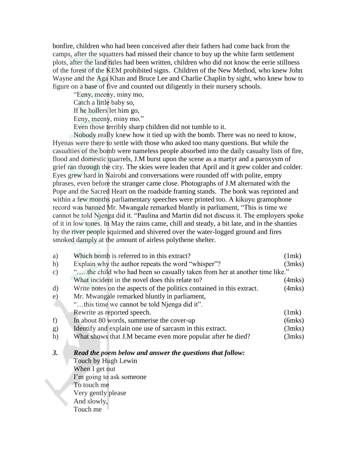bonfire, children who had been conceived after their fathers had come back from the camps, after the squatters had missed their chance to buy up the white farm settlement plots, after the land titles had been written, children who did not know the eerie stillness of the forest of the KEM prohibited signs. Children of the New Method, who knew John Wayne and the Aga Khan and Bruce Lee and Charlie Chaplin by sight, who knew how to figure on a base of five and counted out diligently in their nursery schools.

"Eeny, meeny, miny mo, Catch a little baby so, If he hollers let him go, Eeny, meeny, miny mo." Even those terribly sharp children did not tumble to it.

Nobody really knew how it tied up with the bomb. There was no need to know, Hyenas were there to settle with those who asked too many questions. But while the casualties of the bomb were nameless people absorbed into the daily casualty lists of fire, flood and domestic quarrels, J.M burst upon the scene as a martyr and a paroxysm of grief ran through the city. The skies were leaden that April and it grew colder and colder. Eyes grew hard in Nairobi and conversations were rounded off with polite, empty phrases, even before the stranger came close. Photographs of J.M alternated with the Pope and the Sacred Heart on the roadside framing stands. The book was reprinted and within a few months parliamentary speeches were printed too. A kikuyu gramophone record was banned Mr. Mwangale remarked bluntly in parliament, "This is time we cannot be told Njenga did it. "Paulina and Martin did not discuss it. The employers spoke of it in low tones. In May the rains came, chill and steady, a bit late, and in the shanties by the river people squirmed and shivered over the water-logged ground and fires smoked damply at the amount of airless polythene shelter.

| a)              | Which bomb is referred to in this extract?                                  | (1mk)        |
|-----------------|-----------------------------------------------------------------------------|--------------|
| b)              | Explain why the author repeats the word "whisper"?                          | (3mks)       |
| $\mathcal{C}$ ) | ", the child who had been so casually taken from her at another time like." |              |
|                 | What incident in the novel does this relate to?                             | $(4$ mks $)$ |
| d)              | Write notes on the aspects of the politics contained in this extract.       | (4mks)       |
| $\epsilon$ )    | Mr. Mwangale remarked bluntly in parliament,                                |              |
|                 | "this time we cannot be told Njenga did it".                                |              |
|                 | Rewrite as reported speech.                                                 | (1mk)        |
| f)              | In about 80 words, summerise the cover-up                                   | $(6$ mks $)$ |
| g)              | Identify and explain one use of sarcasm in this extract.                    | (3mks)       |
| h)              | What shows that J.M became even more popular after he died?                 | (3mks)       |
|                 |                                                                             |              |
| 3.              | Read the poem below and answer the questions that follow:                   |              |
|                 | Touch by Hugh Lewin                                                         |              |
|                 | When I get out                                                              |              |
|                 | I'm going to ask someone                                                    |              |
|                 | To touch me                                                                 |              |
|                 | <i>Morre</i> contra desse                                                   |              |

- Very gently please
- And slowly,
- Touch me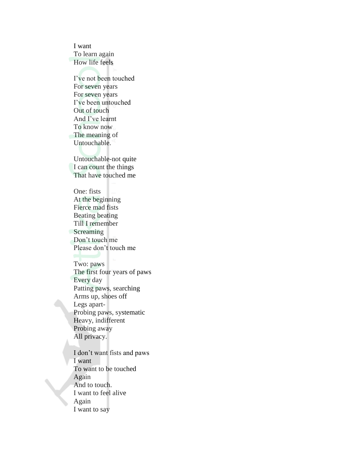I want To learn again How life feels

I"ve not been touched For seven years For seven years I"ve been untouched Out of touch And I've learnt To know now The meaning of Untouchable.

Untouchable-not quite I can count the things That have touched me

One: fists At the beginning Fierce mad fists Beating beating Till I remember Screaming Don"t touch me Please don"t touch me

Two: paws The first four years of paws Every day Patting paws, searching Arms up, shoes off Legs apart-Probing paws, systematic Heavy, indifferent Probing away All privacy.

I don"t want fists and paws I want To want to be touched Again And to touch. I want to feel alive Again I want to say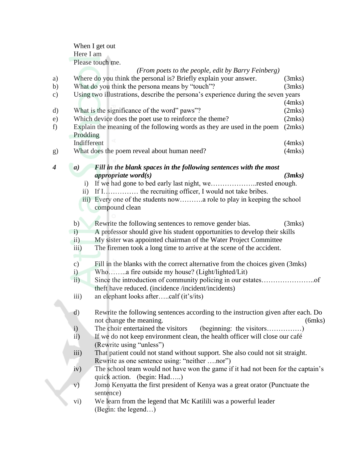When I get out Here I am Please touch me.

|                  | (From poets to the people, edit by Barry Feinberg)                                                                    |              |
|------------------|-----------------------------------------------------------------------------------------------------------------------|--------------|
| a)               | Where do you think the personal is? Briefly explain your answer.                                                      | (3mks)       |
| b)               | What do you think the persona means by "touch"?                                                                       | (3mks)       |
| $\mathbf{c})$    | Using two illustrations, describe the persona's experience during the seven years                                     |              |
|                  |                                                                                                                       | $(4$ mks $)$ |
| $\mathbf{d}$     | What is the significance of the word" paws"?                                                                          | (2mks)       |
| e)               | Which device does the poet use to reinforce the theme?                                                                | (2mks)       |
| f)               | Explain the meaning of the following words as they are used in the poem<br>Prodding                                   | (2mks)       |
|                  | Indifferent                                                                                                           | $(4$ mks $)$ |
| g)               | What does the poem reveal about human need?                                                                           | $(4$ mks $)$ |
| $\boldsymbol{4}$ | Fill in the blank spaces in the following sentences with the most<br>$\boldsymbol{a}$                                 |              |
|                  | appropriate word $(s)$                                                                                                | (3mks)       |
|                  | If we had gone to bed early last night, werested enough.<br>i)                                                        |              |
|                  | iii) Every one of the students now a role to play in keeping the school<br>compound clean                             |              |
|                  | b)<br>Rewrite the following sentences to remove gender bias.                                                          | (3mks)       |
|                  | A professor should give his student opportunities to develop their skills<br>$\mathbf{i}$                             |              |
|                  | My sister was appointed chairman of the Water Project Committee<br>$\mathbf{ii}$                                      |              |
|                  | The firemen took a long time to arrive at the scene of the accident.<br>iii)                                          |              |
|                  | Fill in the blanks with the correct alternative from the choices given (3mks)<br>$\mathbf{c})$                        |              |
|                  | Whoa fire outside my house? (Light/lighted/Lit)<br>$\mathbf{i}$                                                       |              |
|                  | $\overline{11}$ )<br>theft have reduced. (incidence /incident/incidents)                                              |              |
|                  | iii)<br>an elephant looks aftercalf (it's/its)                                                                        |              |
|                  | d)<br>Rewrite the following sentences according to the instruction given after each. Do                               |              |
|                  | not change the meaning.                                                                                               | $(6$ mks $)$ |
|                  | The choir entertained the visitors (beginning: the visitors)<br>$\mathbf{i}$                                          |              |
|                  | $\overline{11}$ )<br>If we do not keep environment clean, the health officer will close our café                      |              |
|                  | (Rewrite using "unless")                                                                                              |              |
|                  | That patient could not stand without support. She also could not sit straight.<br>iii)                                |              |
|                  | Rewrite as one sentence using: "neither nor")                                                                         |              |
|                  | The school team would not have won the game if it had not been for the captain's<br>iv)<br>quick action. (begin: Had) |              |
|                  |                                                                                                                       |              |
|                  | Jomo Kenyatta the first president of Kenya was a great orator (Punctuate the<br>V)<br>sentence)                       |              |
|                  | We learn from the legend that Mc Katilili was a powerful leader<br>$\rm vi)$<br>(Begin: the legend)                   |              |
|                  |                                                                                                                       |              |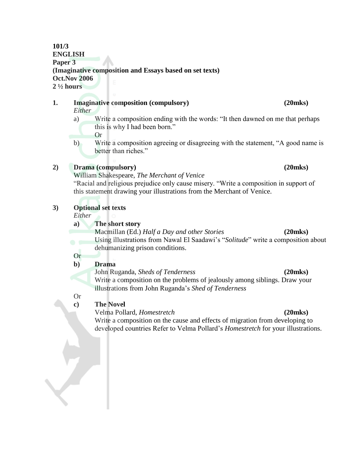### **101/3 ENGLISH Paper 3 (Imaginative composition and Essays based on set texts) Oct.Nov 2006 2 ½ hours**

## **1. Imaginative composition (compulsory) (20mks)**

*Either* 

a) Write a composition ending with the words: "It then dawned on me that perhaps this is why I had been born."

# Or

b) Write a composition agreeing or disagreeing with the statement, "A good name is better than riches."

# **2) Drama (compulsory) (20mks)**

William Shakespeare, *The Merchant of Venice*

"Racial and religious prejudice only cause misery. "Write a composition in support of this statement drawing your illustrations from the Merchant of Venice.

# **3) Optional set texts**

## *Either*

# **a) The short story**

Macmillan (Ed.) *Half a Day and other Stories* **(20mks)**

Using illustrations from Nawal El Saadawi"s "*Solitude*" write a composition about dehumanizing prison conditions.

# Or

# **b) Drama**

John Ruganda, *Sheds of Tenderness* **(20mks)** Write a composition on the problems of jealously among siblings. Draw your illustrations from John Ruganda"s *Shed of Tenderness*

# Or

# **c) The Novel**

# Velma Pollard, *Homestretch* **(20mks)**

Write a composition on the cause and effects of migration from developing to developed countries Refer to Velma Pollard"s *Homestretch* for your illustrations.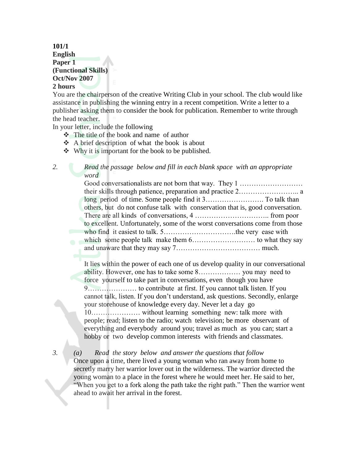# **101/1 English Paper 1 (Functional Skills) Oct/Nov 2007**

### **2 hours**

You are the chairperson of the creative Writing Club in your school. The club would like assistance in publishing the winning entry in a recent competition. Write a letter to a publisher asking them to consider the book for publication. Remember to write through the head teacher.

In your letter, include the following

- The title of the book and name of author
- $\triangle$  A brief description of what the book is about
- $\cdot \cdot$  Why it is important for the book to be published.

*2. Read the passage below and fill in each blank space with an appropriate word*

> Good conversationalists are not born that way. They 1 ........................... their skills through patience, preparation and practice 2…………………….. a long period of time. Some people find it 3……………………. To talk than others, but do not confuse talk with conservation that is, good conversation. There are all kinds of conversations, 4 ………………………….. from poor to excellent. Unfortunately, some of the worst conversations come from those who find it easiest to talk. 5………………………….the very ease with which some people talk make them 6……………………… to what they say and unaware that they may say 7……………………………… much.

> It lies within the power of each one of us develop quality in our conversational ability. However, one has to take some 8……………… you may need to force yourself to take part in conversations, even though you have 9………………… to contribute at first. If you cannot talk listen. If you cannot talk, listen. If you don"t understand, ask questions. Secondly, enlarge your storehouse of knowledge every day. Never let a day go 10………………… without learning something new: talk more with people; read; listen to the radio; watch television; be more observant of everything and everybody around you; travel as much as you can; start a hobby or two develop common interests with friends and classmates.

*3. (a) Read the story below and answer the questions that follow* Once upon a time, there lived a young woman who ran away from home to secretly marry her warrior lover out in the wilderness. The warrior directed the young woman to a place in the forest where he would meet her. He said to her, "When you get to a fork along the path take the right path." Then the warrior went ahead to await her arrival in the forest.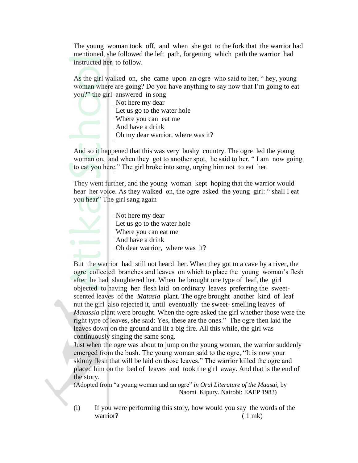The young woman took off, and when she got to the fork that the warrior had mentioned, she followed the left path, forgetting which path the warrior had instructed her to follow.

As the girl walked on, she came upon an ogre who said to her, " hey, young woman where are going? Do you have anything to say now that I"m going to eat you?" the girl answered in song

> Not here my dear Let us go to the water hole Where you can eat me And have a drink Oh my dear warrior, where was it?

And so it happened that this was very bushy country. The ogre led the young woman on, and when they got to another spot, he said to her, " I am now going to eat you here." The girl broke into song, urging him not to eat her.

They went further, and the young woman kept hoping that the warrior would hear her voice. As they walked on, the ogre asked the young girl: " shall I eat you hear" The girl sang again



But the warrior had still not heard her. When they got to a cave by a river, the ogre collected branches and leaves on which to place the young woman"s flesh after he had slaughtered her. When he brought one type of leaf, the girl objected to having her flesh laid on ordinary leaves preferring the sweetscented leaves of the *Matasia* plant. The ogre brought another kind of leaf nut the girl also rejected it, until eventually the sweet- smelling leaves of *Matassia* plant were brought. When the ogre asked the girl whether those were the right type of leaves, she said: Yes, these are the ones." The ogre then laid the leaves down on the ground and lit a big fire. All this while, the girl was continuously singing the same song.

Just when the ogre was about to jump on the young woman, the warrior suddenly emerged from the bush. The young woman said to the ogre, "It is now your skinny flesh that will be laid on those leaves." The warrior killed the ogre and placed him on the bed of leaves and took the girl away. And that is the end of the story.

(Adopted from "a young woman and an ogre" *in Oral Literature of the Maasai*, by Naomi Kipury. Nairobi: EAEP 1983)

(i) If you were performing this story, how would you say the words of the warrior? (1 mk)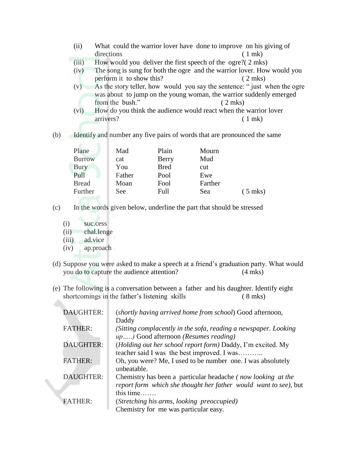| (ii)  |                                                            | What could the warrior lover have done to improve on his giving of        |
|-------|------------------------------------------------------------|---------------------------------------------------------------------------|
|       | directions                                                 | $(1$ mk)                                                                  |
| (iii) | How would you deliver the first speech of the ogre?(2 mks) |                                                                           |
| (iv)  |                                                            | The song is sung for both the ogre and the warrior lover. How would you   |
|       | perform it to show this?                                   | $(2$ mks)                                                                 |
| (v)   |                                                            | As the story teller, how would you say the sentence: " just when the ogre |
|       |                                                            | was about to jump on the young woman, the warrior suddenly emerged        |
|       | from the bush."                                            | $2$ mks)                                                                  |
|       |                                                            |                                                                           |

- (vi) How do you think the audience would react when the warrior lover arrivers? ( 1 mk)
- (b) Identify and number any five pairs of words that are pronounced the same

| Plane         | Mad    | Plain       | Mourn   |           |
|---------------|--------|-------------|---------|-----------|
| <b>Burrow</b> | cat    | Berry       | Mud     |           |
| <b>Bury</b>   | You    | <b>Bred</b> | cut     |           |
| Pull          | Father | Pool        | Ewe     |           |
| <b>Bread</b>  | Moan   | Fool        | Farther |           |
| Further       | See    | Full        | Sea     | $(5$ mks) |
|               |        |             |         |           |

(c) In the words given below, underline the part that should be stressed

- (i) suc.cess (ii) chal.lenge (iii) ad.vice
- (iv) ap.proach
- (d) Suppose you were asked to make a speech at a friend"s graduation party. What would you do to capture the audience attention? (4 mks)
- (e) The following is a conversation between a father and his daughter. Identify eight shortcomings in the father's listening skills (8 mks)

| DAUGHTER:        | (shortly having arrived home from school) Good afternoon,<br>Daddy                                                                            |
|------------------|-----------------------------------------------------------------------------------------------------------------------------------------------|
| <b>FATHER:</b>   | (Sitting complacently in the sofa, reading a newspaper. Looking<br><i>up</i> ) Good afternoon (Resumes reading)                               |
| <b>DAUGHTER:</b> | (Holding out her school report form) Daddy, I'm excited. My<br>teacher said I was the best improved. I was                                    |
| <b>FATHER:</b>   | Oh, you were? Me, I used to be number one. I was absolutely<br>unbeatable.                                                                    |
| <b>DAUGHTER:</b> | Chemistry has been a particular headache (now looking at the<br>report form which she thought her father would want to see), but<br>this time |
| <b>FATHER:</b>   | (Stretching his arms, looking preoccupied)<br>Chemistry for me was particular easy.                                                           |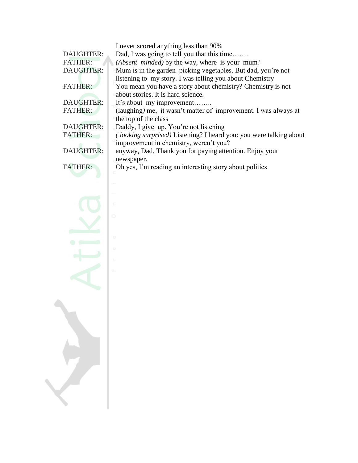|                  | I never scored anything less than 90%                              |
|------------------|--------------------------------------------------------------------|
| DAUGHTER:        | Dad, I was going to tell you that this time                        |
| <b>FATHER:</b>   | (Absent minded) by the way, where is your mum?                     |
| <b>DAUGHTER:</b> | Mum is in the garden picking vegetables. But dad, you're not       |
|                  | listening to my story. I was telling you about Chemistry           |
| <b>FATHER:</b>   | You mean you have a story about chemistry? Chemistry is not        |
|                  | about stories. It is hard science.                                 |
| DAUGHTER:        | It's about my improvement                                          |
| <b>FATHER:</b>   | (laughing) me, it wasn't matter of improvement. I was always at    |
|                  | the top of the class                                               |
| <b>DAUGHTER:</b> | Daddy, I give up. You're not listening                             |
| <b>FATHER:</b>   | (looking surprised) Listening? I heard you: you were talking about |
|                  | improvement in chemistry, weren't you?                             |
| DAUGHTER:        | anyway, Dad. Thank you for paying attention. Enjoy your            |
|                  | newspaper.                                                         |
| <b>FATHER:</b>   | Oh yes, I'm reading an interesting story about politics            |
|                  |                                                                    |
|                  |                                                                    |
|                  |                                                                    |
|                  |                                                                    |
|                  |                                                                    |
|                  |                                                                    |
|                  |                                                                    |
|                  |                                                                    |
|                  |                                                                    |
|                  | ω                                                                  |
|                  |                                                                    |
|                  | ω                                                                  |
|                  |                                                                    |
|                  | u.                                                                 |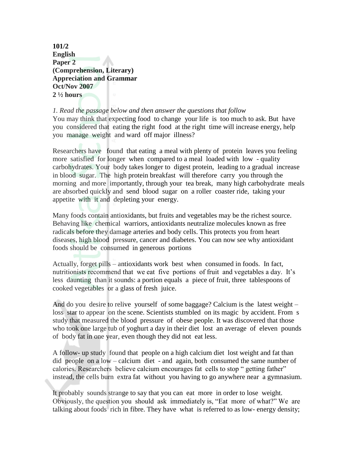**101/2 English Paper 2 (Comprehension, Literary) Appreciation and Grammar Oct/Nov 2007 2 ½ hours**

### *1. Read the passage below and then answer the questions that follow*

You may think that expecting food to change your life is too much to ask. But have you considered that eating the right food at the right time will increase energy, help you manage weight and ward off major illness?

Researchers have found that eating a meal with plenty of protein leaves you feeling more satisfied for longer when compared to a meal loaded with low - quality carbohydrates. Your body takes longer to digest protein, leading to a gradual increase in blood sugar. The high protein breakfast will therefore carry you through the morning and more importantly, through your tea break, many high carbohydrate meals are absorbed quickly and send blood sugar on a roller coaster ride, taking your appetite with it and depleting your energy.

Many foods contain antioxidants, but fruits and vegetables may be the richest source. Behaving like chemical warriors, antioxidants neutralize molecules known as free radicals before they damage arteries and body cells. This protects you from heart diseases, high blood pressure, cancer and diabetes. You can now see why antioxidant foods should be consumed in generous portions

Actually, forget pills – antioxidants work best when consumed in foods. In fact, nutritionists recommend that we eat five portions of fruit and vegetables a day. It"s less daunting than it sounds: a portion equals a piece of fruit, three tablespoons of cooked vegetables or a glass of fresh juice.

And do you desire to relive yourself of some baggage? Calcium is the latest weight – loss star to appear on the scene. Scientists stumbled on its magic by accident. From s study that measured the blood pressure of obese people. It was discovered that those who took one large tub of yoghurt a day in their diet lost an average of eleven pounds of body fat in one year, even though they did not eat less.

A follow- up study found that people on a high calcium diet lost weight and fat than did people on a low – calcium diet - and again, both consumed the same number of calories. Researchers believe calcium encourages fat cells to stop " getting father" instead, the cells burn extra fat without you having to go anywhere near a gymnasium.

It probably sounds strange to say that you can eat more in order to lose weight. Obviously, the question you should ask immediately is, "Eat more of what?" We are talking about foods rich in fibre. They have what is referred to as low- energy density;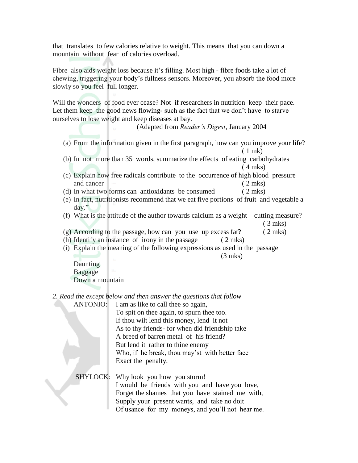that translates to few calories relative to weight. This means that you can down a mountain without fear of calories overload.

Fibre also aids weight loss because it's filling. Most high - fibre foods take a lot of chewing, triggering your body"s fullness sensors. Moreover, you absorb the food more slowly so you feel full longer.

Will the wonders of food ever cease? Not if researchers in nutrition keep their pace. Let them keep the good news flowing- such as the fact that we don"t have to starve ourselves to lose weight and keep diseases at bay.

(Adapted from *Reader's Digest*, January 2004

- (a) From the information given in the first paragraph, how can you improve your life? ( 1 mk)
- (b) In not more than 35 words, summarize the effects of eating carbohydrates ( 4 mks)
- (c) Explain how free radicals contribute to the occurrence of high blood pressure and cancer ( 2 mks)
- (d) In what two forms can antioxidants be consumed  $(2 \text{ mks})$
- (e) In fact, nutritionists recommend that we eat five portions of fruit and vegetable a day."
- (f) What is the attitude of the author towards calcium as a weight cutting measure?
	- ( 3 mks)
- (g) According to the passage, how can you use up excess fat?  $(2 \text{ mks})$
- (h) Identify an instance of irony in the passage  $(2 \text{ mks})$
- (i) Explain the meaning of the following expressions as used in the passage

(3 mks)

Daunting Baggage Down a mountain

*2. Read the except below and then answer the questions that follow*

ANTONIO: I am as like to call thee so again,

To spit on thee again, to spurn thee too. If thou wilt lend this money, lend it not As to thy friends- for when did friendship take A breed of barren metal of his friend? But lend it rather to thine enemy Who, if he break, thou may'st with better face Exact the penalty.

SHYLOCK: Why look you how you storm! I would be friends with you and have you love, Forget the shames that you have stained me with, Supply your present wants, and take no doit Of usance for my moneys, and you"ll not hear me.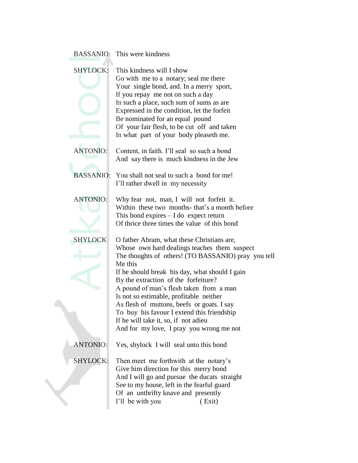# BASSANIO: This were kindness

|                 | SHYLOCK: This kindness will I show<br>Go with me to a notary; seal me there<br>Your single bond, and. In a merry sport,<br>If you repay me not on such a day<br>In such a place, such sum of sums as are<br>Expressed in the condition, let the forfeit<br>Be nominated for an equal pound<br>Of your fair flesh, to be cut off and taken<br>In what part of your body pleaseth me.                                                                                                                                          |
|-----------------|------------------------------------------------------------------------------------------------------------------------------------------------------------------------------------------------------------------------------------------------------------------------------------------------------------------------------------------------------------------------------------------------------------------------------------------------------------------------------------------------------------------------------|
| <b>ANTONIO:</b> | Content, in faith. I'll seal so such a bond<br>And say there is much kindness in the Jew                                                                                                                                                                                                                                                                                                                                                                                                                                     |
|                 | BASSANIO: You shall not seal to such a bond for me!<br>I'll rather dwell in my necessity                                                                                                                                                                                                                                                                                                                                                                                                                                     |
| <b>ANTONIO:</b> | Why fear not, man, I will not forfeit it.<br>Within these two months-that's a month before<br>This bond expires $- I$ do expect return<br>Of thrice three times the value of this bond                                                                                                                                                                                                                                                                                                                                       |
| <b>SHYLOCK</b>  | O father Abram, what these Christians are,<br>Whose own hard dealings teaches them suspect<br>The thoughts of others! (TO BASSANIO) pray you tell<br>Me this<br>If he should break his day, what should I gain<br>By the extraction of the forfeiture?<br>A pound of man's flesh taken from a man<br>Is not so estimable, profitable neither<br>As flesh of muttons, beefs or goats. I say<br>To buy his favour I extend this friendship<br>If he will take it, so, if not adieu<br>And for my love, I pray you wrong me not |
| <b>ANTONIO:</b> | Yes, shylock I will seal unto this bond                                                                                                                                                                                                                                                                                                                                                                                                                                                                                      |
| <b>SHYLOCK:</b> | Then meet me forthwith at the notary's<br>Give him direction for this merry bond<br>And I will go and pursue the ducats straight<br>See to my house, left in the fearful guard<br>Of an unthrifty knave and presently<br>I'll be with you<br>(Exit)                                                                                                                                                                                                                                                                          |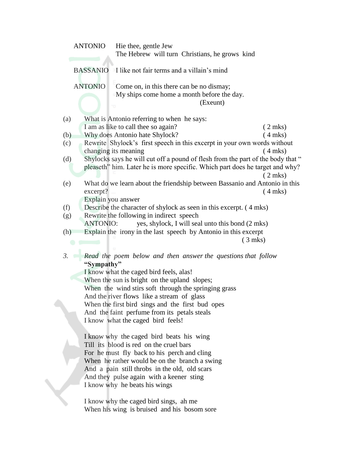|     | <b>ANTONIO</b>  | Hie thee, gentle Jew<br>The Hebrew will turn Christians, he grows kind                             |           |
|-----|-----------------|----------------------------------------------------------------------------------------------------|-----------|
|     | <b>BASSANIO</b> | I like not fair terms and a villain's mind                                                         |           |
|     | <b>ANTONIO</b>  | Come on, in this there can be no dismay;<br>My ships come home a month before the day.<br>(Exeunt) |           |
| (a) |                 | What is Antonio referring to when he says:                                                         |           |
|     |                 | I am as like to call thee so again?                                                                | $(2$ mks) |
| (b) |                 | Why does Antonio hate Shylock?                                                                     | $(4$ mks) |
| (c) |                 | Rewrite Shylock's first speech in this excerpt in your own words without                           |           |
|     |                 | changing its meaning                                                                               | $(4$ mks) |
| (d) |                 | Shylocks says he will cut off a pound of flesh from the part of the body that "                    |           |
|     |                 | pleaseth" him. Later he is more specific. Which part does he target and why?                       |           |
|     |                 |                                                                                                    | $(2$ mks) |
| (e) |                 | What do we learn about the friendship between Bassanio and Antonio in this                         |           |
|     | excerpt?        |                                                                                                    | $(4$ mks) |
|     |                 | Explain you answer                                                                                 |           |
| (f) |                 | Describe the character of shylock as seen in this excerpt. (4 mks)                                 |           |
| (g) |                 | Rewrite the following in indirect speech                                                           |           |
|     | <b>ANTONIO:</b> | yes, shylock, I will seal unto this bond (2 mks)                                                   |           |
| (h) |                 | Explain the irony in the last speech by Antonio in this excerpt                                    |           |
|     |                 | $(3$ mks)                                                                                          |           |
| 3.  |                 | Read the poem below and then answer the questions that follow                                      |           |
|     | "Sympathy"      |                                                                                                    |           |
|     |                 | I know what the caged bird feels, alas!                                                            |           |
|     |                 | When the sun is bright on the upland slopes;                                                       |           |
|     |                 | When the wind stirs soft through the springing grass                                               |           |
|     |                 | And the river flows like a stream of glass                                                         |           |
|     |                 | When the first bird sings and the first bud opes                                                   |           |
|     |                 | And the faint perfume from its petals steals                                                       |           |
|     |                 |                                                                                                    |           |

I know what the caged bird feels!

I know why the caged bird beats his wing Till its blood is red on the cruel bars For he must fly back to his perch and cling When he rather would be on the branch a swing And a pain still throbs in the old, old scars And they pulse again with a keener sting I know why he beats his wings

I know why the caged bird sings, ah me When his wing is bruised and his bosom sore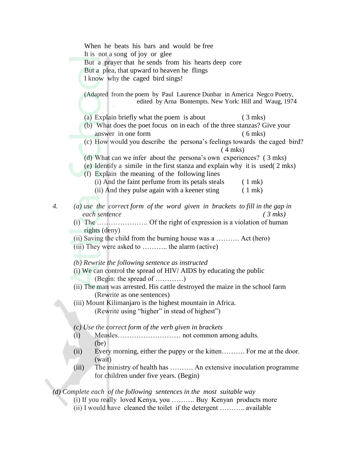|                 | When he beats his bars and would be free                                                                                           |
|-----------------|------------------------------------------------------------------------------------------------------------------------------------|
|                 | It is not a song of joy or glee                                                                                                    |
|                 | But a prayer that he sends from his hearts deep core<br>But a plea, that upward to heaven he flings                                |
|                 | I know why the caged bird sings!                                                                                                   |
|                 |                                                                                                                                    |
|                 | (Adapted from the poem by Paul Laurence Dunbar in America Negco Poetry,<br>edited by Arna Bontempts. New York: Hill and Waug, 1974 |
|                 | (a) Explain briefly what the poem is about<br>$(3$ mks)                                                                            |
|                 | (b) What does the poet focus on in each of the three stanzas? Give your                                                            |
|                 | answer in one form<br>$(6$ mks)                                                                                                    |
|                 | (c) How would you describe the persona's feelings towards the caged bird?<br>$(4$ mks)                                             |
|                 | (d) What can we infer about the persona's own experiences? (3 mks)                                                                 |
|                 | (e) Identify a simile in the first stanza and explain why it is used (2 mks)                                                       |
|                 | (f) Explain the meaning of the following lines<br>(i) And the faint perfume from its petals steals<br>$(1$ mk)                     |
|                 | (ii) And they pulse again with a keener sting<br>$(1$ mk)                                                                          |
|                 |                                                                                                                                    |
| $\mathcal{A}$ . | $(a)$ use the correct form of the word given in brackets to fill in the gap in<br>each sentence<br>$(3$ mks)                       |
|                 |                                                                                                                                    |
|                 | rights (deny)                                                                                                                      |
|                 | (ii) Saving the child from the burning house was a  Act (hero)                                                                     |
|                 | (iii) They were asked to  the alarm (active)                                                                                       |
|                 |                                                                                                                                    |
|                 | (b) Rewrite the following sentence as instructed<br>(i) We can control the spread of HIV/ AIDS by educating the public             |
|                 | (Begin: the spread of )                                                                                                            |
|                 | (ii) The man was arrested. His cattle destroyed the maize in the school farm                                                       |
|                 | (Rewrite as one sentences)                                                                                                         |
|                 | (iii) Mount Kilimanjaro is the highest mountain in Africa.                                                                         |
|                 | (Rewrite using "higher" in stead of highest")                                                                                      |
|                 |                                                                                                                                    |
|                 | (c) Use the correct form of the verb given in brackets                                                                             |
|                 | (i)                                                                                                                                |
|                 | (be)<br>Every morning, either the puppy or the kitten For me at the door.<br>(ii)                                                  |
|                 | (wait)                                                                                                                             |
|                 | (iii)<br>The ministry of health has  An extensive inoculation programme                                                            |
|                 | for children under five years. (Begin)                                                                                             |
|                 |                                                                                                                                    |
|                 | (d) Complete each of the following sentences in the most suitable way                                                              |
|                 | (i) If you really loved Kenya, you  Buy Kenyan products more                                                                       |
|                 | (ii) I would have cleaned the toilet if the detergent  available                                                                   |
|                 |                                                                                                                                    |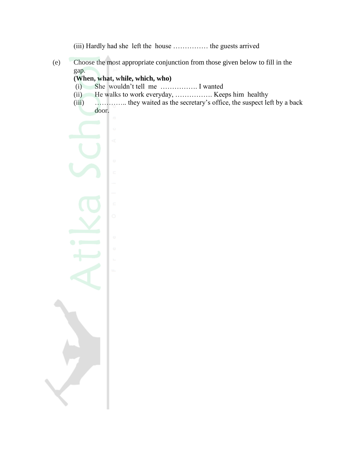(iii) Hardly had she left the house …………… the guests arrived

(e) Choose the most appropriate conjunction from those given below to fill in the gap.

# **(When, what, while, which, who)**

- (i) She wouldn"t tell me ……………. I wanted
- (ii) He walks to work everyday, ……………. Keeps him healthy
- (iii) ………….. they waited as the secretary"s office, the suspect left by a back door.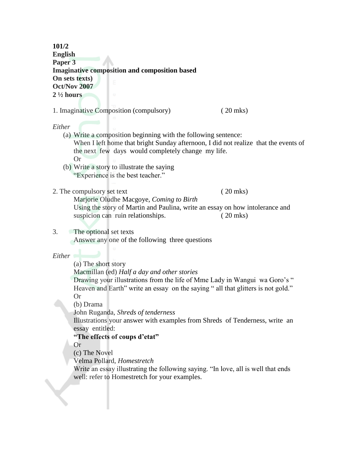**101/2 English Paper 3 Imaginative composition and composition based On sets texts) Oct/Nov 2007 2 ½ hours**

1. Imaginative Composition (compulsory) ( 20 mks)

### *Either*

(a) Write a composition beginning with the following sentence: When I left home that bright Sunday afternoon, I did not realize that the events of the next few days would completely change my life. Or

- (b) Write a story to illustrate the saying "Experience is the best teacher."
- 2. The compulsory set text ( 20 mks)

Marjorie Oludhe Macgoye, *Coming to Birth* Using the story of Martin and Paulina, write an essay on how intolerance and suspicion can ruin relationships. (20 mks)

3. The optional set texts Answer any one of the following three questions

### *Either*

(a) The short story

Macmillan (ed) *Half a day and other stories*

Drawing your illustrations from the life of Mme Lady in Wangui wa Goro's " Heaven and Earth" write an essay on the saying " all that glitters is not gold." Or

(b) Drama

John Ruganda, *Shreds of tenderness*

Illustrations your answer with examples from Shreds of Tenderness, write an essay entitled:

### **"The effects of coups d'etat"**

Or

(c) The Novel

Velma Pollard, *Homestretch*

Write an essay illustrating the following saying. "In love, all is well that ends well: refer to Homestretch for your examples.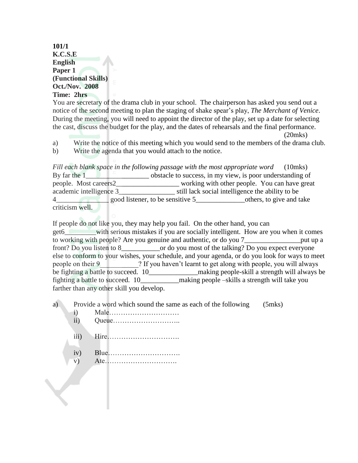**101/1 K.C.S.E English Paper 1 (Functional Skills) Oct./Nov. 2008 Time: 2hrs**

You are secretary of the drama club in your school. The chairperson has asked you send out a notice of the second meeting to plan the staging of shake spear"s play, *The Merchant of Venice*. During the meeting, you will need to appoint the director of the play, set up a date for selecting the cast, discuss the budget for the play, and the dates of rehearsals and the final performance.

(20mks)

a) Write the notice of this meeting which you would send to the members of the drama club.

b) Write the agenda that you would attach to the notice.

*Fill each blank space in the following passage with the most appropriate word* (10mks) By far the 1 contact to success, in my view, is poor understanding of people. Most careers2\_\_\_\_\_\_\_\_\_\_\_\_\_\_\_\_\_\_ working with other people. You can have great academic intelligence 3\_\_\_\_\_\_\_\_\_\_\_\_\_\_\_\_\_\_\_\_\_\_\_ still lack social intelligence the ability to be 4\_\_\_\_\_\_\_\_\_\_\_\_\_\_\_ good listener, to be sensitive 5\_\_\_\_\_\_\_\_\_\_\_\_\_\_others, to give and take criticism well.

If people do not like you, they may help you fail. On the other hand, you can get6\_\_\_\_\_\_\_\_\_with serious mistakes if you are socially intelligent. How are you when it comes to working with people? Are you genuine and authentic, or do you 7\_\_\_\_\_\_\_\_\_\_\_\_\_\_\_\_put up a front? Do you listen to 8 correct or do you most of the talking? Do you expect everyone else to conform to your wishes, your schedule, and your agenda, or do you look for ways to meet people on their 9\_\_\_\_\_\_\_\_\_\_\_? If you haven"t learnt to get along with people, you will always be fighting a battle to succeed. 10\_\_\_\_\_\_\_\_\_\_\_\_\_\_making people-skill a strength will always be fighting a battle to succeed. 10\_\_\_\_\_\_\_\_\_\_\_making people –skills a strength will take you farther than any other skill you develop.

a) Provide a word which sound the same as each of the following (5mks)

- i) Male…………………………
- ii) Queue………………………..

iii) Hire………………………….

iv) Blue…………………………. v) Ate………………………….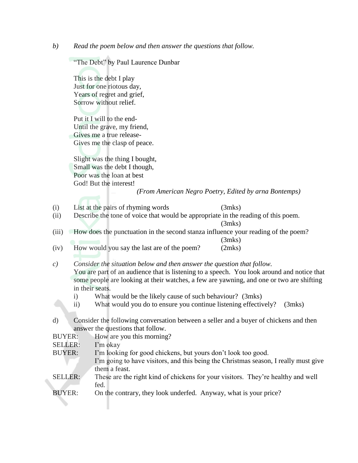*b) Read the poem below and then answer the questions that follow.*

"The Debt" by Paul Laurence Dunbar

This is the debt I play Just for one riotous day, Years of regret and grief, Sorrow without relief.

Put it I will to the end-Until the grave, my friend, Gives me a true release-Gives me the clasp of peace.

Slight was the thing I bought, Small was the debt I though, Poor was the loan at best God! But the interest!

*(From American Negro Poetry, Edited by arna Bontemps)*

- (i) List at the pairs of rhyming words (3mks) (ii) Describe the tone of voice that would be appropriate in the reading of this poem. (3mks) (iii) How does the punctuation in the second stanza influence your reading of the poem? (3mks) (iv) How would you say the last are of the poem? (2mks) *c) Consider the situation below and then answer the question that follow.* You are part of an audience that is listening to a speech. You look around and notice that some people are looking at their watches, a few are yawning, and one or two are shifting in their seats. i) What would be the likely cause of such behaviour? (3mks) ii) What would you do to ensure you continue listening effectively? (3mks) d) Consider the following conversation between a seller and a buyer of chickens and then answer the questions that follow. BUYER: How are you this morning? SELLER: I'm okay BUYER: I'm looking for good chickens, but yours don't look too good. I"m going to have visitors, and this being the Christmas season, I really must give them a feast. SELLER: These are the right kind of chickens for your visitors. They"re healthy and well fed.
- BUYER: On the contrary, they look underfed. Anyway, what is your price?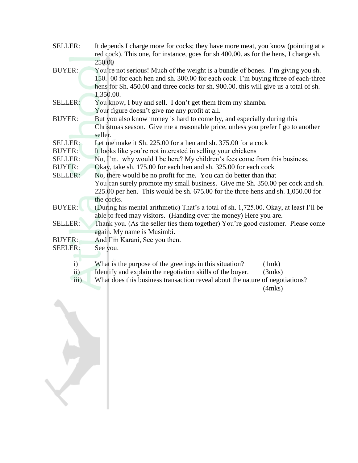| <b>SELLER:</b> | It depends I charge more for cocks; they have more meat, you know (pointing at a<br>red cock). This one, for instance, goes for sh 400.00. as for the hens, I charge sh.                                                                                               |
|----------------|------------------------------------------------------------------------------------------------------------------------------------------------------------------------------------------------------------------------------------------------------------------------|
| <b>BUYER:</b>  | 250.00<br>You're not serious! Much of the weight is a bundle of bones. I'm giving you sh.<br>150. 00 for each hen and sh. 300.00 for each cock. I'm buying three of each-three<br>hens for Sh. 450.00 and three cocks for sh. 900.00. this will give us a total of sh. |
| <b>SELLER:</b> | 1,350.00.<br>You know, I buy and sell. I don't get them from my shamba.<br>Your figure doesn't give me any profit at all.                                                                                                                                              |
| <b>BUYER:</b>  | But you also know money is hard to come by, and especially during this<br>Christmas season. Give me a reasonable price, unless you prefer I go to another<br>seller.                                                                                                   |
| <b>SELLER:</b> | Let me make it Sh. 225.00 for a hen and sh. 375.00 for a cock                                                                                                                                                                                                          |
| <b>BUYER:</b>  | It looks like you're not interested in selling your chickens                                                                                                                                                                                                           |
| <b>SELLER:</b> | No, I'm. why would I be here? My children's fees come from this business.                                                                                                                                                                                              |
| <b>BUYER:</b>  | Okay, take sh. 175.00 for each hen and sh. 325.00 for each cock                                                                                                                                                                                                        |
| <b>SELLER:</b> | No, there would be no profit for me. You can do better than that                                                                                                                                                                                                       |
|                | You can surely promote my small business. Give me Sh. 350.00 per cock and sh.<br>$225.00$ per hen. This would be sh. $675.00$ for the three hens and sh. $1,050.00$ for<br>the cocks.                                                                                  |
| <b>BUYER:</b>  | (During his mental arithmetic) That's a total of sh. 1,725.00. Okay, at least I'll be<br>able to feed may visitors. (Handing over the money) Here you are.                                                                                                             |
| <b>SELLER:</b> | Thank you. (As the seller ties them together) You're good customer. Please come<br>again. My name is Musimbi.                                                                                                                                                          |
| <b>BUYER:</b>  | And I'm Karani, See you then.                                                                                                                                                                                                                                          |
| <b>SEELER:</b> | See you.                                                                                                                                                                                                                                                               |
| $\mathbf{i}$   | What is the purpose of the greetings in this situation?<br>(1mk)                                                                                                                                                                                                       |
|                |                                                                                                                                                                                                                                                                        |

ii) Identify and explain the negotiation skills of the buyer. (3mks)

iii) What does this business transaction reveal about the nature of negotiations? (4mks)

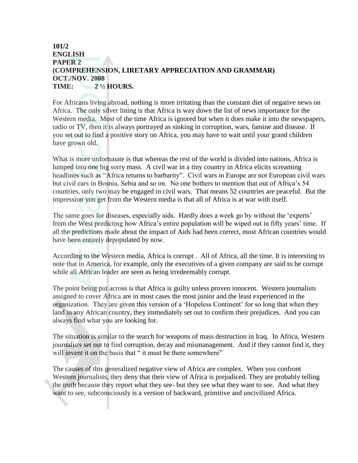## **101/2 ENGLISH PAPER 2 (COMPREHENSION, LIRETARY APPRECIATION AND GRAMMAR) OCT./NOV. 2008 TIME: 2 ½ HOURS.**

For Africans living abroad, nothing is more irritating than the constant diet of negative news on Africa. The only silver lining is that Africa is way down the list of news importance for the Western media. Most of the time Africa is ignored but when it does make it into the newspapers, radio or TV, then it is always portrayed as sinking in corruption, wars, famine and disease. If you set out to find a positive story on Africa, you may have to wait until your grand children have grown old.

What is more unfortunate is that whereas the rest of the world is divided into nations, Africa is lumped into one big sorry mass. A civil war in a tiny country in Africa elicits screaming headlines such as "Africa returns to barbarity". Civil wars in Europe are not European civil wars but civil ears in Bosnia, Sebia and so on. No one bothers to mention that out of Africa"s 54 countries, only two may be engaged in civil wars. That means 52 countries are peaceful. But the impression you get from the Western media is that all of Africa is at war with itself.

The same goes for diseases, especially aids. Hardly does a week go by without the 'experts' from the West predicting how Africa's entire population will be wiped out in fifty years' time. If all the predictions made about the impact of Aids had been correct, most African countries would have been entirely depopulated by now.

According to the Western media, Africa is corrupt . All of Africa, all the time. It is interesting to note that in America, for example, only the executives of a given company are said to be corrupt while all African leader are seen as being irredeemably corrupt.

The point being put across is that Africa is guilty unless proven innocent. Western journalists assigned to cover Africa are in most cases the most junior and the least experienced in the organization. They are given this version of a "Hopeless Continent" for so long that when they land in any African country, they immediately set out to confirm their prejudices. And you can always find what you are looking for.

The situation is similar to the search for weapons of mass destruction in Iraq. In Africa, Western journalists set out to find corruption, decay and mismanagement. And if they cannot find it, they will invent it on the basis that " it must be there somewhere"

The causes of this generalized negative view of Africa are complex. When you confront Western journalists, they deny that their view of Africa is prejudiced. They are probably telling the truth because they report what they see- but they see what they want to see. And what they want to see, subconsciously is a version of backward, primitive and uncivilized Africa.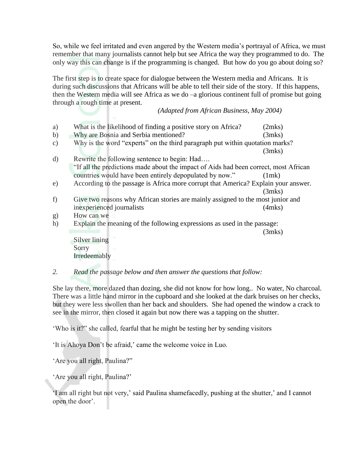So, while we feel irritated and even angered by the Western media"s portrayal of Africa, we must remember that many journalists cannot help but see Africa the way they programmed to do. The only way this can change is if the programming is changed. But how do you go about doing so?

The first step is to create space for dialogue between the Western media and Africans. It is during such discussions that Africans will be able to tell their side of the story. If this happens, then the Western media will see Africa as we do –a glorious continent full of promise but going through a rough time at present.

*(Adapted from African Business, May 2004)*

| a)      | What is the likelihood of finding a positive story on Africa?                        | (2mks)       |
|---------|--------------------------------------------------------------------------------------|--------------|
| b)      | Why are Bosnia and Serbia mentioned?                                                 | (3mks)       |
| c)      | Why is the word "experts" on the third paragraph put within quotation marks?         |              |
|         |                                                                                      | (3mks)       |
| $\rm d$ | Rewrite the following sentence to begin: Had                                         |              |
|         | "If all the predictions made about the impact of Aids had been correct, most African |              |
|         | countries would have been entirely depopulated by now."                              | (lmk)        |
| e)      | According to the passage is Africa more corrupt that America? Explain your answer.   |              |
|         |                                                                                      | (3mks)       |
| f)      | Give two reasons why African stories are mainly assigned to the most junior and      |              |
|         | inexperienced journalists                                                            | $(4$ mks $)$ |
| g)      | How can we                                                                           |              |
| h)      | Explain the meaning of the following expressions as used in the passage:             |              |
|         |                                                                                      | (3mks)       |
|         | Silver lining                                                                        |              |
|         | Sorry                                                                                |              |
|         | Irredeemably                                                                         |              |
|         |                                                                                      |              |

### *2. Read the passage below and then answer the questions that follow:*

She lay there, more dazed than dozing, she did not know for how long.. No water, No charcoal. There was a little hand mirror in the cupboard and she looked at the dark bruises on her checks, but they were less swollen than her back and shoulders. She had opened the window a crack to see in the mirror, then closed it again but now there was a tapping on the shutter.

"Who is it?" she called, fearful that he might be testing her by sending visitors

"It is Ahoya Don"t be afraid," came the welcome voice in Luo.

'Are you all right, Paulina?"

'Are you all right, Paulina?'

'I am all right but not very,' said Paulina shamefacedly, pushing at the shutter,' and I cannot open the door'.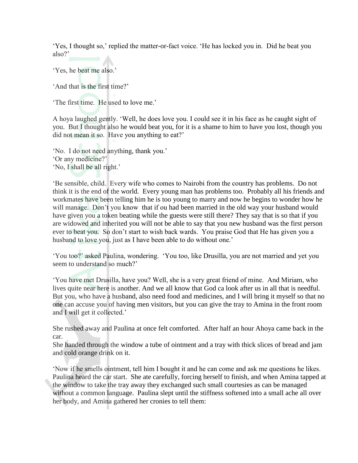"Yes, I thought so," replied the matter-or-fact voice. "He has locked you in. Did he beat you also?'

"Yes, he beat me also."

'And that is the first time?'

The first time. He used to love me.'

A hoya laughed gently. "Well, he does love you. I could see it in his face as he caught sight of you. But I thought also he would beat you, for it is a shame to him to have you lost, though you did not mean it so. Have you anything to eat?'

'No. I do not need anything, thank you.' "Or any medicine?" 'No, I shall be all right.'

"Be sensible, child. Every wife who comes to Nairobi from the country has problems. Do not think it is the end of the world. Every young man has problems too. Probably all his friends and workmates have been telling him he is too young to marry and now he begins to wonder how he will manage. Don't you know that if ou had been married in the old way your husband would have given you a token beating while the guests were still there? They say that is so that if you are widowed and inherited you will not be able to say that you new husband was the first person ever to beat you. So don"t start to wish back wards. You praise God that He has given you a husband to love you, just as I have been able to do without one.'

"You too?" asked Paulina, wondering. "You too, like Drusilla, you are not married and yet you seem to understand so much?'

"You have met Drusilla, have you? Well, she is a very great friend of mine. And Miriam, who lives quite near here is another. And we all know that God ca look after us in all that is needful. But you, who have a husband, also need food and medicines, and I will bring it myself so that no one can accuse you of having men visitors, but you can give the tray to Amina in the front room and I will get it collected."

She rushed away and Paulina at once felt comforted. After half an hour Ahoya came back in the car.

She handed through the window a tube of ointment and a tray with thick slices of bread and jam and cold orange drink on it.

"Now if he smells ointment, tell him I bought it and he can come and ask me questions he likes. Paulina heard the car start. She ate carefully, forcing herself to finish, and when Amina tapped at the window to take the tray away they exchanged such small courtesies as can be managed without a common language. Paulina slept until the stiffness softened into a small ache all over her body, and Amina gathered her cronies to tell them: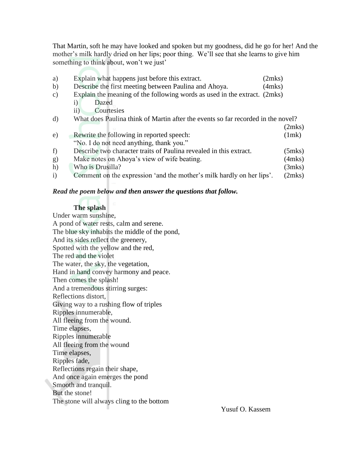That Martin, soft he may have looked and spoken but my goodness, did he go for her! And the mother's milk hardly dried on her lips; poor thing. We'll see that she learns to give him something to think about, won't we just'

| a)            | Explain what happens just before this extract.<br>(2mks)                         |              |
|---------------|----------------------------------------------------------------------------------|--------------|
| b)            | Describe the first meeting between Paulina and Ahoya.<br>$(4$ mks $)$            |              |
| $\mathbf{c})$ | Explain the meaning of the following words as used in the extract. (2mks)        |              |
|               | Dazed<br>$\left( \frac{1}{2} \right)$                                            |              |
|               | Courtesies<br>$\overline{11}$                                                    |              |
| d)            | What does Paulina think of Martin after the events so far recorded in the novel? |              |
|               |                                                                                  | (2mks)       |
| e)            | Rewrite the following in reported speech:                                        | (1mk)        |
|               | "No. I do not need anything, thank you."                                         |              |
| f)            | Describe two character traits of Paulina revealed in this extract.               | (5mks)       |
| g)            | Make notes on Ahoya's view of wife beating.                                      | $(4$ mks $)$ |
| h)            | Who is Drusilla?                                                                 | $(3$ mks $)$ |
| $\mathbf{i}$  | Comment on the expression 'and the mother's milk hardly on her lips'.            | (2mks)       |
|               |                                                                                  |              |

### *Read the poem below and then answer the questions that follow.*

### **The splash**

Under warm sunshine, A pond of water rests, calm and serene. The blue sky inhabits the middle of the pond, And its sides reflect the greenery, Spotted with the yellow and the red, The red and the violet The water, the sky, the vegetation, Hand in hand convey harmony and peace. Then comes the splash! And a tremendous stirring surges: Reflections distort, Giving way to a rushing flow of triples Ripples innumerable, All fleeing from the wound. Time elapses, Ripples innumerable All fleeing from the wound Time elapses, Ripples fade, Reflections regain their shape, And once again emerges the pond Smooth and tranquil. But the stone! The stone will always cling to the bottom

Yusuf O. Kassem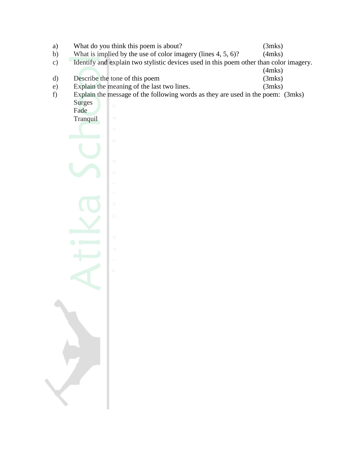- a) What do you think this poem is about?<br>
b) What is implied by the use of color imagery (lines 4, 5, 6)? (4mks) b) What is implied by the use of color imagery (lines  $4, 5, 6$ )? c) Identify and explain two stylistic devices used in this poem other than color imagery.  $(4mks)$ <br> $(3mks)$
- d) Describe the tone of this poem (3mks)<br>
e) Explain the meaning of the last two lines. (3mks)

e) Explain the meaning of the last two lines.<br>
f) Explain the message of the following word Explain the message of the following words as they are used in the poem: (3mks) Surges

Fade Tranquil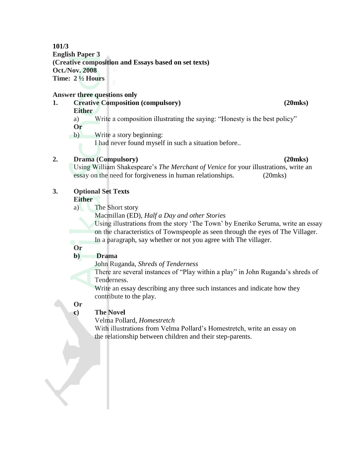**English Paper 3 (Creative composition and Essays based on set texts) Oct./Nov. 2008 Time: 2 ½ Hours**

### **Answer three questions only**

- **1. Creative Composition (compulsory) (20mks) Either**
	- a) Write a composition illustrating the saying: "Honesty is the best policy"
	- **Or**
	- b) Write a story beginning:
		- I had never found myself in such a situation before..

## **2. Drama (Compulsory) (20mks)**

Using William Shakespeare"s *The Merchant of Venice* for your illustrations, write an essay on the need for forgiveness in human relationships. (20mks)

## **3. Optional Set Texts**

### **Either**

a) The Short story

Macmillan (ED), *Half a Day and other Stories*

Using illustrations from the story "The Town" by Eneriko Seruma, write an essay on the characteristics of Townspeople as seen through the eyes of The Villager. In a paragraph, say whether or not you agree with The villager.

# **Or**

## **b) Drama**

John Ruganda, *Shreds of Tenderness*

There are several instances of "Play within a play" in John Ruganda's shreds of Tenderness.

Write an essay describing any three such instances and indicate how they contribute to the play.

# **Or**

## **c) The Novel**

Velma Pollard, *Homestretch*

With illustrations from Velma Pollard"s Homestretch, write an essay on the relationship between children and their step-parents.

# **101/3**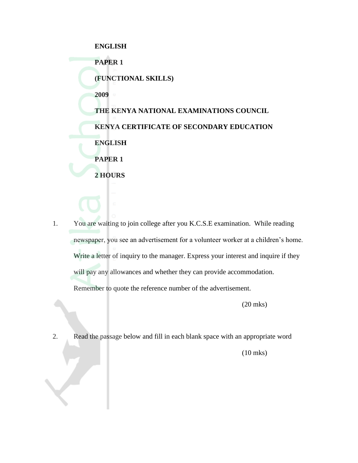**ENGLISH PAPER 1 (FUNCTIONAL SKILLS) 2009 THE KENYA NATIONAL EXAMINATIONS COUNCIL KENYA CERTIFICATE OF SECONDARY EDUCATION ENGLISH PAPER 1 2 HOURS**

1. You are waiting to join college after you K.C.S.E examination. While reading newspaper, you see an advertisement for a volunteer worker at a children"s home. Write a letter of inquiry to the manager. Express your interest and inquire if they will pay any allowances and whether they can provide accommodation. Remember to quote the reference number of the advertisement.

(20 mks)

2. Read the passage below and fill in each blank space with an appropriate word

(10 mks)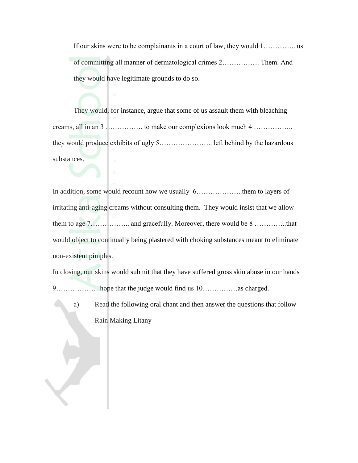If our skins were to be complainants in a court of law, they would 1………….. us of committing all manner of dermatological crimes 2……………. Them. And they would have legitimate grounds to do so.

They would, for instance, argue that some of us assault them with bleaching creams, all in an 3 ……………. to make our complexions look much 4 …………….. they would produce exhibits of ugly 5………………….. left behind by the hazardous substances.

In addition, some would recount how we usually 6………………..them to layers of irritating anti-aging creams without consulting them. They would insist that we allow them to age 7…………….. and gracefully. Moreover, there would be 8 …………..that would object to continually being plastered with choking substances meant to eliminate non-existent pimples.

In closing, our skins would submit that they have suffered gross skin abuse in our hands 9……………….hope that the judge would find us 10……………as charged.

a) Read the following oral chant and then answer the questions that follow Rain Making Litany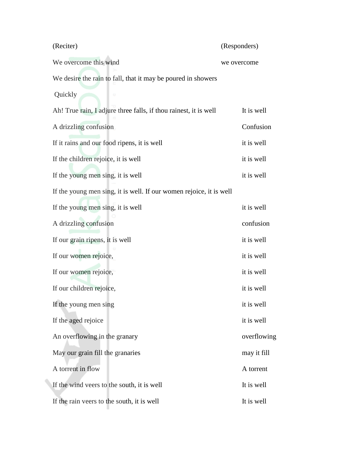| (Reciter)                                                           | (Responders) |  |
|---------------------------------------------------------------------|--------------|--|
| We overcome this wind                                               | we overcome  |  |
| We desire the rain to fall, that it may be poured in showers        |              |  |
| Quickly                                                             |              |  |
| Ah! True rain, I adjure three falls, if thou rainest, it is well    | It is well   |  |
| A drizzling confusion                                               | Confusion    |  |
| If it rains and our food ripens, it is well                         | it is well   |  |
| If the children rejoice, it is well                                 | it is well   |  |
| If the young men sing, it is well                                   | it is well   |  |
| If the young men sing, it is well. If our women rejoice, it is well |              |  |
| If the young men sing, it is well                                   | it is well   |  |
| A drizzling confusion                                               | confusion    |  |
| If our grain ripens, it is well                                     | it is well   |  |
| If our women rejoice,                                               | it is well   |  |
| If our women rejoice,                                               | it is well   |  |
| If our children rejoice,                                            | it is well   |  |
| If the young men sing                                               | it is well   |  |
| If the aged rejoice                                                 | it is well   |  |
| An overflowing in the granary                                       | overflowing  |  |
| May our grain fill the granaries                                    | may it fill  |  |
| A torrent in flow                                                   | A torrent    |  |
| If the wind veers to the south, it is well                          | It is well   |  |
| If the rain veers to the south, it is well                          | It is well   |  |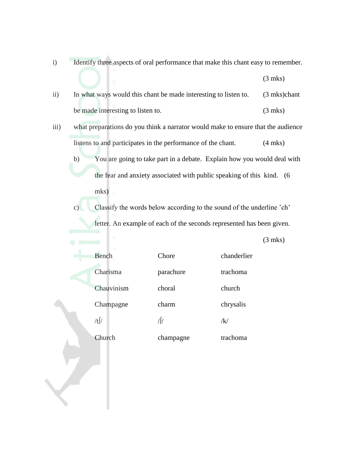i) Identify three aspects of oral performance that make this chant easy to remember. (3 mks)

ii) In what ways would this chant be made interesting to listen to. (3 mks)chant be made interesting to listen to. (3 mks)

iii) what preparations do you think a narrator would make to ensure that the audience listens to and participates in the performance of the chant. (4 mks)

b) You are going to take part in a debate. Explain how you would deal with the fear and anxiety associated with public speaking of this kind. (6 mks)

c) Classify the words below according to the sound of the underline "ch" letter. An example of each of the seconds represented has been given.

(3 mks)

| Bench      | Chore     | chanderlier |
|------------|-----------|-------------|
| Charisma   | parachure | trachoma    |
| Chauvinism | choral    | church      |
| Champagne  | charm     | chrysalis   |
| /t         |           | /k/         |
|            |           |             |

Church champagne trachoma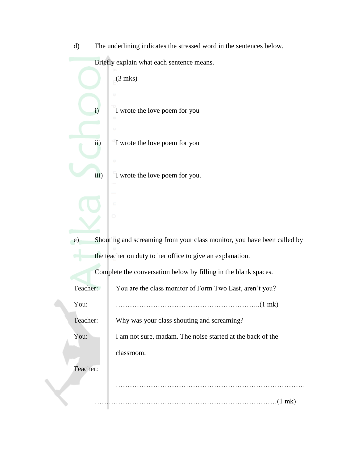d) The underlining indicates the stressed word in the sentences below.

Briefly explain what each sentence means.

(3 mks)

i) I wrote the love poem for you

ii) I wrote the love poem for you

iii) I wrote the love poem for you.

e) Shouting and screaming from your class monitor, you have been called by the teacher on duty to her office to give an explanation.

Complete the conversation below by filling in the blank spaces.

Teacher: You are the class monitor of Form Two East, aren't you?

You: 1 mk

Teacher: Why was your class shouting and screaming?

You: I am not sure, madam. The noise started at the back of the

classroom.

Teacher:

……………………………………………………………………… ……………………………………………………………………(1 mk)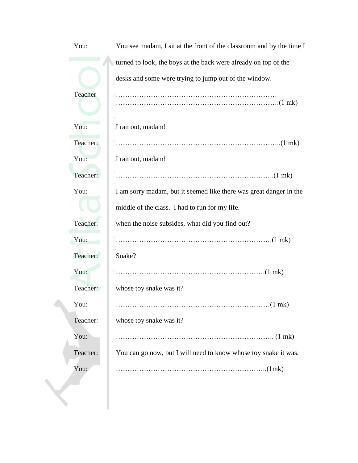| You:     | You see madam, I sit at the front of the classroom and by the time I |
|----------|----------------------------------------------------------------------|
|          | turned to look, the boys at the back were already on top of the      |
|          | desks and some were trying to jump out of the window.                |
| Teacher  |                                                                      |
| You:     | I ran out, madam!                                                    |
| Teacher: |                                                                      |
| You:     | I ran out, madam!                                                    |
| Teacher: |                                                                      |
| You:     | I am sorry madam, but it seemed like there was great danger in the   |
|          | middle of the class. I had to run for my life.                       |
| Teacher: | when the noise subsides, what did you find out?                      |
| You:     |                                                                      |
| Teacher: | Snake?                                                               |
| You:     |                                                                      |
| Teacher: | whose toy snake was it?                                              |
| You:     |                                                                      |
| Teacher: | whose toy snake was it?                                              |
| You:     |                                                                      |
| Teacher: | You can go now, but I will need to know whose toy snake it was.      |
| You:     |                                                                      |
|          |                                                                      |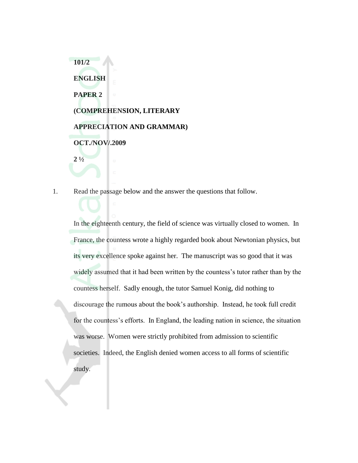**101/2 ENGLISH PAPER 2 (COMPREHENSION, LITERARY APPRECIATION AND GRAMMAR) OCT./NOV/.2009**   $2 \frac{1}{2}$ 

1. Read the passage below and the answer the questions that follow.

In the eighteenth century, the field of science was virtually closed to women. In France, the countess wrote a highly regarded book about Newtonian physics, but its very excellence spoke against her. The manuscript was so good that it was widely assumed that it had been written by the countess's tutor rather than by the countess herself. Sadly enough, the tutor Samuel Konig, did nothing to discourage the rumous about the book"s authorship. Instead, he took full credit for the countess's efforts. In England, the leading nation in science, the situation was worse. Women were strictly prohibited from admission to scientific societies. Indeed, the English denied women access to all forms of scientific study.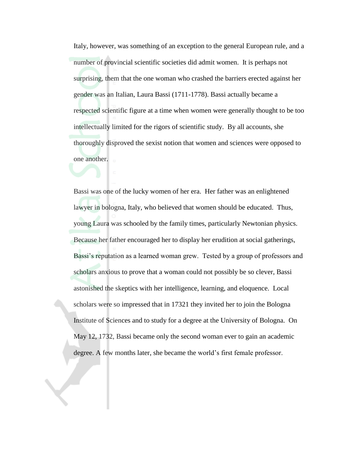Italy, however, was something of an exception to the general European rule, and a number of provincial scientific societies did admit women. It is perhaps not surprising, them that the one woman who crashed the barriers erected against her gender was an Italian, Laura Bassi (1711-1778). Bassi actually became a respected scientific figure at a time when women were generally thought to be too intellectually limited for the rigors of scientific study. By all accounts, she thoroughly disproved the sexist notion that women and sciences were opposed to one another.

Bassi was one of the lucky women of her era. Her father was an enlightened lawyer in bologna, Italy, who believed that women should be educated. Thus, young Laura was schooled by the family times, particularly Newtonian physics. Because her father encouraged her to display her erudition at social gatherings, Bassi's reputation as a learned woman grew. Tested by a group of professors and scholars anxious to prove that a woman could not possibly be so clever, Bassi astonished the skeptics with her intelligence, learning, and eloquence. Local scholars were so impressed that in 17321 they invited her to join the Bologna Institute of Sciences and to study for a degree at the University of Bologna. On May 12, 1732, Bassi became only the second woman ever to gain an academic degree. A few months later, she became the world's first female professor.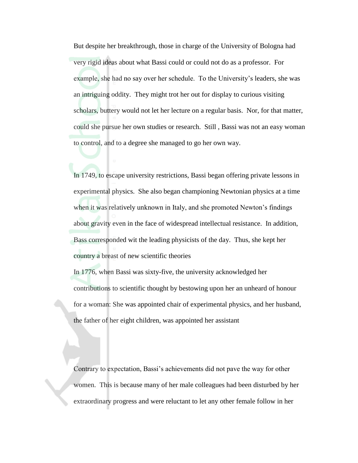But despite her breakthrough, those in charge of the University of Bologna had very rigid ideas about what Bassi could or could not do as a professor. For example, she had no say over her schedule. To the University"s leaders, she was an intriguing oddity. They might trot her out for display to curious visiting scholars, buttery would not let her lecture on a regular basis. Nor, for that matter, could she pursue her own studies or research. Still , Bassi was not an easy woman to control, and to a degree she managed to go her own way.

In 1749, to escape university restrictions, Bassi began offering private lessons in experimental physics. She also began championing Newtonian physics at a time when it was relatively unknown in Italy, and she promoted Newton's findings about gravity even in the face of widespread intellectual resistance. In addition, Bass corresponded wit the leading physicists of the day. Thus, she kept her country a breast of new scientific theories

In 1776, when Bassi was sixty-five, the university acknowledged her contributions to scientific thought by bestowing upon her an unheard of honour for a woman: She was appointed chair of experimental physics, and her husband, the father of her eight children, was appointed her assistant

Contrary to expectation, Bassi"s achievements did not pave the way for other women. This is because many of her male colleagues had been disturbed by her extraordinary progress and were reluctant to let any other female follow in her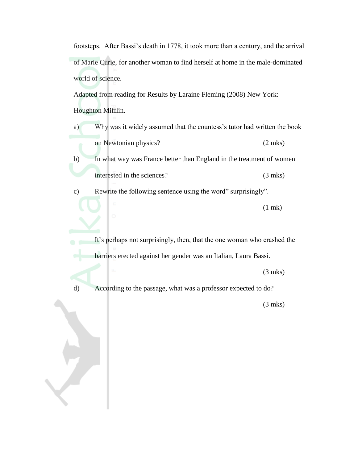footsteps. After Bassi"s death in 1778, it took more than a century, and the arrival of Marie Curie, for another woman to find herself at home in the male-dominated world of science.

Adapted from reading for Results by Laraine Fleming (2008) New York: Houghton Mifflin.

- a) Why was it widely assumed that the countess"s tutor had written the book on Newtonian physics? (2 mks)
- b) In what way was France better than England in the treatment of women interested in the sciences? (3 mks)
- c) Rewrite the following sentence using the word" surprisingly".
	- (1 mk)

It"s perhaps not surprisingly, then, that the one woman who crashed the barriers erected against her gender was an Italian, Laura Bassi.

(3 mks)

d) According to the passage, what was a professor expected to do?

(3 mks)

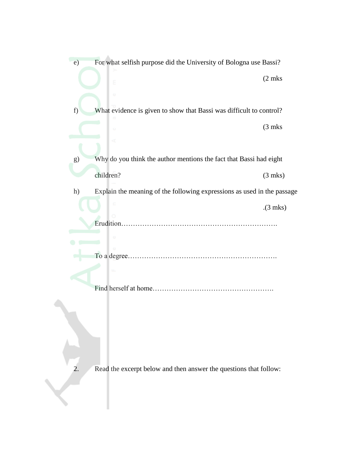|           | $(2$ mks                                                                                                                                                                                                                                                                                  |
|-----------|-------------------------------------------------------------------------------------------------------------------------------------------------------------------------------------------------------------------------------------------------------------------------------------------|
|           |                                                                                                                                                                                                                                                                                           |
|           |                                                                                                                                                                                                                                                                                           |
|           | $(3$ mks                                                                                                                                                                                                                                                                                  |
| ď         |                                                                                                                                                                                                                                                                                           |
|           |                                                                                                                                                                                                                                                                                           |
| children? | $(3$ mks)                                                                                                                                                                                                                                                                                 |
|           |                                                                                                                                                                                                                                                                                           |
|           | $(3$ mks)                                                                                                                                                                                                                                                                                 |
|           |                                                                                                                                                                                                                                                                                           |
|           |                                                                                                                                                                                                                                                                                           |
|           |                                                                                                                                                                                                                                                                                           |
|           |                                                                                                                                                                                                                                                                                           |
|           |                                                                                                                                                                                                                                                                                           |
|           |                                                                                                                                                                                                                                                                                           |
|           |                                                                                                                                                                                                                                                                                           |
|           |                                                                                                                                                                                                                                                                                           |
|           | For what selfish purpose did the University of Bologna use Bassi?<br>What evidence is given to show that Bassi was difficult to control?<br>Why do you think the author mentions the fact that Bassi had eight<br>Explain the meaning of the following expressions as used in the passage |

2. Read the excerpt below and then answer the questions that follow:

 $\overline{\mathcal{L}}$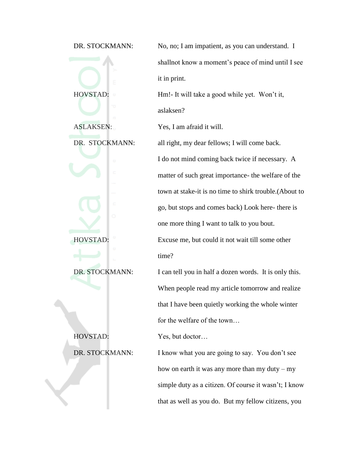ASLAKSEN: Yes, I am afraid it will. DR. STOCKMANN: all right, my dear fellows; I will come back. HOVSTAD: Yes, but doctor…

DR. STOCKMANN: No, no; I am impatient, as you can understand. I shallnot know a moment's peace of mind until I see it in print.

HOVSTAD: Hm!- It will take a good while yet. Won't it, aslaksen?

I do not mind coming back twice if necessary. A matter of such great importance- the welfare of the town at stake-it is no time to shirk trouble.(About to go, but stops and comes back) Look here- there is one more thing I want to talk to you bout. HOVSTAD: Excuse me, but could it not wait till some other time?

DR. STOCKMANN: I can tell you in half a dozen words. It is only this. When people read my article tomorrow and realize that I have been quietly working the whole winter for the welfare of the town…

DR. STOCKMANN: I know what you are going to say. You don't see how on earth it was any more than my duty – my simple duty as a citizen. Of course it wasn"t; I know that as well as you do. But my fellow citizens, you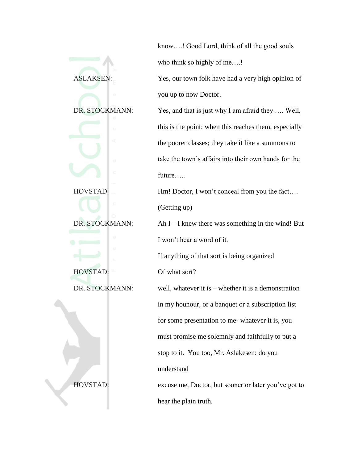HOVSTAD: Of what sort?

know….! Good Lord, think of all the good souls who think so highly of me...!

ASLAKSEN: Yes, our town folk have had a very high opinion of you up to now Doctor.

DR. STOCKMANN: Yes, and that is just why I am afraid they .... Well, this is the point; when this reaches them, especially the poorer classes; they take it like a summons to take the town"s affairs into their own hands for the future…..

HOVSTAD Hm! Doctor, I won't conceal from you the fact.... (Getting up)

DR. STOCKMANN: Ah I – I knew there was something in the wind! But I won"t hear a word of it.

If anything of that sort is being organized

DR. STOCKMANN: well, whatever it is – whether it is a demonstration in my hounour, or a banquet or a subscription list for some presentation to me- whatever it is, you must promise me solemnly and faithfully to put a stop to it. You too, Mr. Aslakesen: do you understand

HOVSTAD: excuse me, Doctor, but sooner or later you"ve got to hear the plain truth.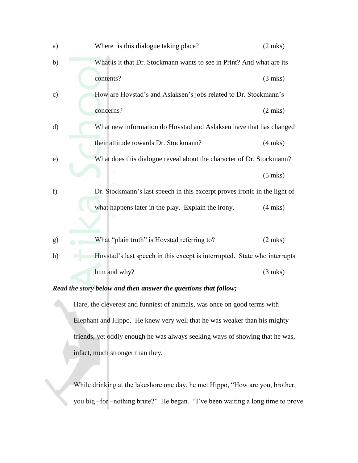| a)        | Where is this dialogue taking place?                                      | $(2$ mks $)$ |
|-----------|---------------------------------------------------------------------------|--------------|
| b)        | What is it that Dr. Stockmann wants to see in Print? And what are its     |              |
|           | contents?                                                                 | $(3$ mks)    |
| $\circ$ ) | How are Hovstad's and Aslaksen's jobs related to Dr. Stockmann's          |              |
|           | concerns?                                                                 | $(2$ mks)    |
| $\rm d)$  | What new information do Hovstad and Aslaksen have that has changed        |              |
|           | their attitude towards Dr. Stockmann?                                     | $(4$ mks)    |
| e)        | What does this dialogue reveal about the character of Dr. Stockmann?      |              |
|           |                                                                           | $(5$ mks)    |
| f)        | Dr. Stockmann's last speech in this excerpt proves ironic in the light of |              |
|           | what happens later in the play. Explain the irony.                        | $(4$ mks)    |
| g)        | What "plain truth" is Hovstad referring to?                               | $(2$ mks)    |
| h)        | Hovstad's last speech in this except is interrupted. State who interrupts |              |
|           | him and why?                                                              | $(3$ mks)    |

# *Read the story below and then answer the questions that follow;*

Hare, the cleverest and funniest of animals, was once on good terms with Elephant and Hippo. He knew very well that he was weaker than his mighty friends, yet oddly enough he was always seeking ways of showing that he was, infact, much stronger than they.

While drinking at the lakeshore one day, he met Hippo, "How are you, brother, you big –for –nothing brute?" He began. "I"ve been waiting a long time to prove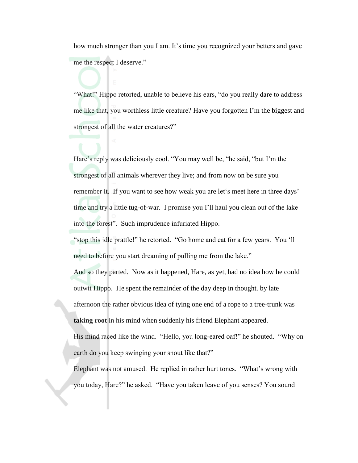how much stronger than you I am. It's time you recognized your betters and gave me the respect I deserve."

"What!" Hippo retorted, unable to believe his ears, "do you really dare to address me like that, you worthless little creature? Have you forgotten I"m the biggest and strongest of all the water creatures?"

Hare's reply was deliciously cool. "You may well be, "he said, "but I'm the strongest of all animals wherever they live; and from now on be sure you remember it. If you want to see how weak you are let's meet here in three days' time and try a little tug-of-war. I promise you I"ll haul you clean out of the lake into the forest". Such imprudence infuriated Hippo.

"stop this idle prattle!" he retorted. "Go home and eat for a few years. You "ll need to before you start dreaming of pulling me from the lake."

And so they parted. Now as it happened, Hare, as yet, had no idea how he could outwit Hippo. He spent the remainder of the day deep in thought. by late afternoon the rather obvious idea of tying one end of a rope to a tree-trunk was **taking root** in his mind when suddenly his friend Elephant appeared.

His mind raced like the wind. "Hello, you long-eared oaf!" he shouted. "Why on earth do you keep swinging your snout like that?"

Elephant was not amused. He replied in rather hurt tones. "What's wrong with you today, Hare?" he asked. "Have you taken leave of you senses? You sound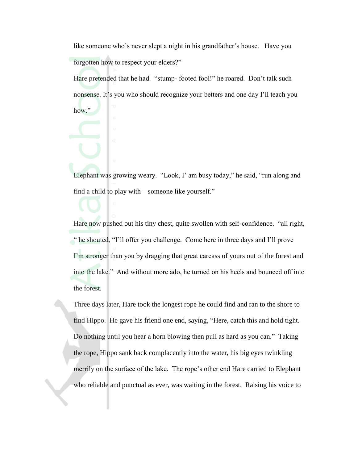like someone who's never slept a night in his grandfather's house. Have you forgotten how to respect your elders?"

Hare pretended that he had. "stump-footed fool!" he roared. Don't talk such nonsense. It's you who should recognize your betters and one day I'll teach you how."

Elephant was growing weary. "Look, I" am busy today," he said, "run along and find a child to play with – someone like yourself."

Hare now pushed out his tiny chest, quite swollen with self-confidence. "all right, " he shouted, "I"ll offer you challenge. Come here in three days and I"ll prove I"m stronger than you by dragging that great carcass of yours out of the forest and into the lake." And without more ado, he turned on his heels and bounced off into the forest.

Three days later, Hare took the longest rope he could find and ran to the shore to find Hippo. He gave his friend one end, saying, "Here, catch this and hold tight. Do nothing until you hear a horn blowing then pull as hard as you can." Taking the rope, Hippo sank back complacently into the water, his big eyes twinkling merrily on the surface of the lake. The rope's other end Hare carried to Elephant who reliable and punctual as ever, was waiting in the forest. Raising his voice to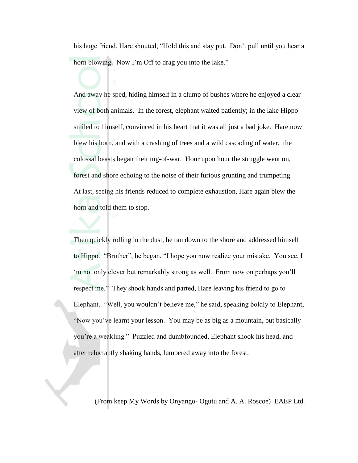his huge friend, Hare shouted, "Hold this and stay put. Don"t pull until you hear a horn blowing. Now I'm Off to drag you into the lake."

And away he sped, hiding himself in a clump of bushes where he enjoyed a clear view of both animals. In the forest, elephant waited patiently; in the lake Hippo smiled to himself, convinced in his heart that it was all just a bad joke. Hare now blew his horn, and with a crashing of trees and a wild cascading of water, the colossal beasts began their tug-of-war. Hour upon hour the struggle went on, forest and shore echoing to the noise of their furious grunting and trumpeting. At last, seeing his friends reduced to complete exhaustion, Hare again blew the horn and told them to stop.

Then quickly rolling in the dust, he ran down to the shore and addressed himself to Hippo. "Brother", he began, "I hope you now realize your mistake. You see, I 'm not only clever but remarkably strong as well. From now on perhaps you'll respect me." They shook hands and parted, Hare leaving his friend to go to Elephant. "Well, you wouldn"t believe me," he said, speaking boldly to Elephant, "Now you"ve learnt your lesson. You may be as big as a mountain, but basically you"re a weakling." Puzzled and dumbfounded, Elephant shook his head, and after reluctantly shaking hands, lumbered away into the forest.

(From keep My Words by Onyango- Ogutu and A. A. Roscoe) EAEP Ltd.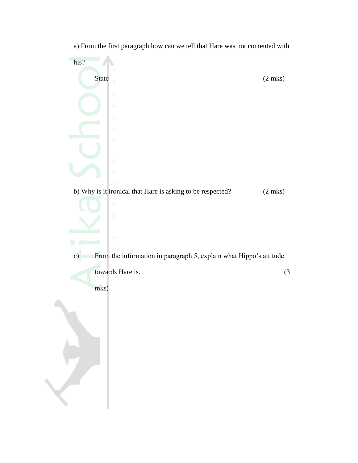

a) From the first paragraph how can we tell that Hare was not contented with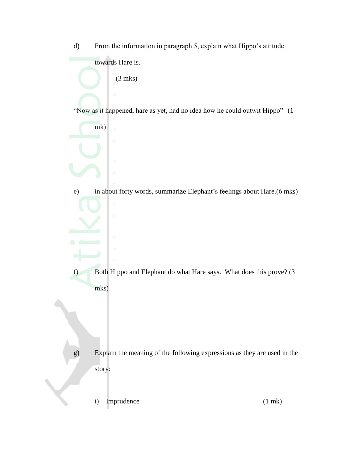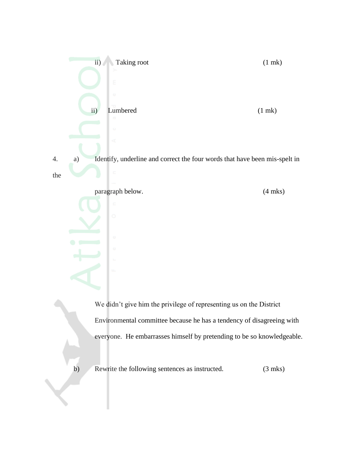

We didn't give him the privilege of representing us on the District Environmental committee because he has a tendency of disagreeing with everyone. He embarrasses himself by pretending to be so knowledgeable.

b) Rewrite the following sentences as instructed. (3 mks)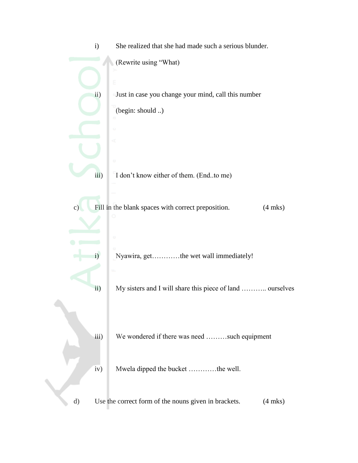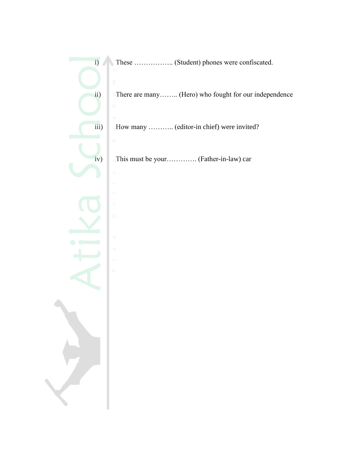

- ii) There are many…….. (Hero) who fought for our independence
- iii) How many ……….. (editor-in chief) were invited?
- iv) This must be your…………. (Father-in-law) car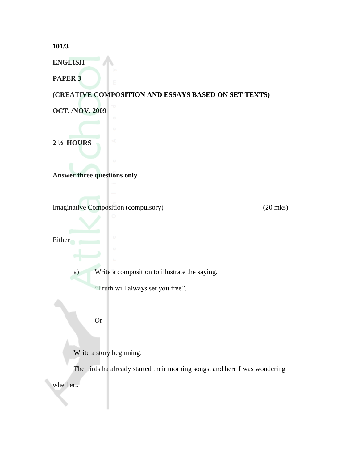**101/3**

**ENGLISH PAPER 3**

**(CREATIVE COMPOSITION AND ESSAYS BASED ON SET TEXTS)**

**OCT. /NOV. 2009 2 ½ HOURS**

Either

**Answer three questions only**

Imaginative Composition (compulsory) (20 mks)

a) Write a composition to illustrate the saying. "Truth will always set you free".

Or

Write a story beginning:

The birds ha already started their morning songs, and here I was wondering whether..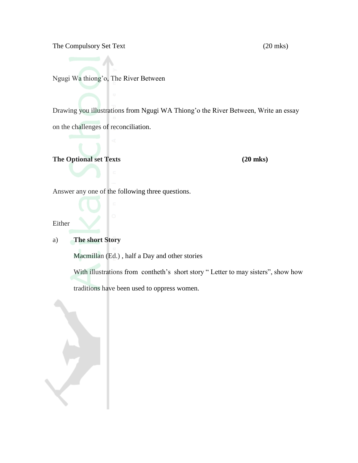The Compulsory Set Text (20 mks)

Ngugi Wa thiong"o, The River Between

Drawing you illustrations from Ngugi WA Thiong"o the River Between, Write an essay on the challenges of reconciliation.

# **The Optional set Texts (20 mks)**

Answer any one of the following three questions.

Either

a) **The short Story**

Macmillan (Ed.) , half a Day and other stories

With illustrations from contheth's short story " Letter to may sisters", show how traditions have been used to oppress women.